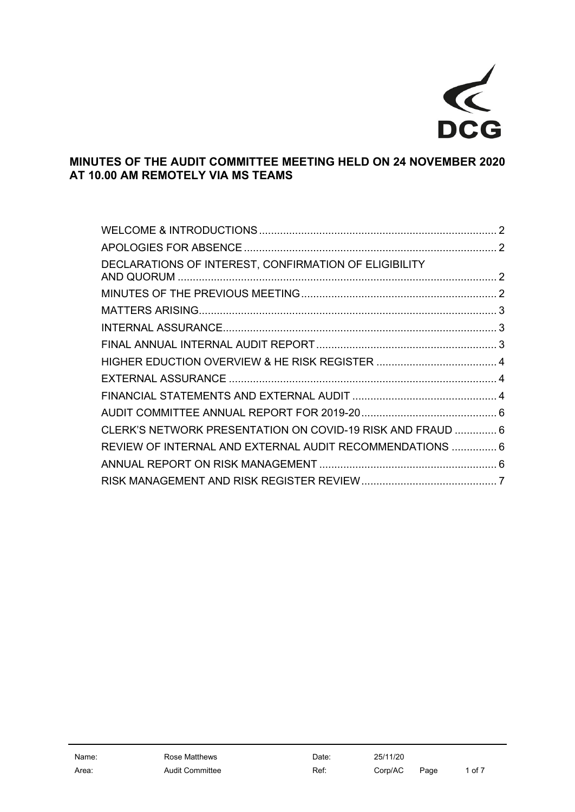

# **MINUTES OF THE AUDIT COMMITTEE MEETING HELD ON 24 NOVEMBER 2020 AT 10.00 AM REMOTELY VIA MS TEAMS**

| DECLARATIONS OF INTEREST, CONFIRMATION OF ELIGIBILITY      |  |
|------------------------------------------------------------|--|
|                                                            |  |
|                                                            |  |
|                                                            |  |
|                                                            |  |
|                                                            |  |
|                                                            |  |
|                                                            |  |
|                                                            |  |
| CLERK'S NETWORK PRESENTATION ON COVID-19 RISK AND FRAUD  6 |  |
| REVIEW OF INTERNAL AND EXTERNAL AUDIT RECOMMENDATIONS  6   |  |
|                                                            |  |
|                                                            |  |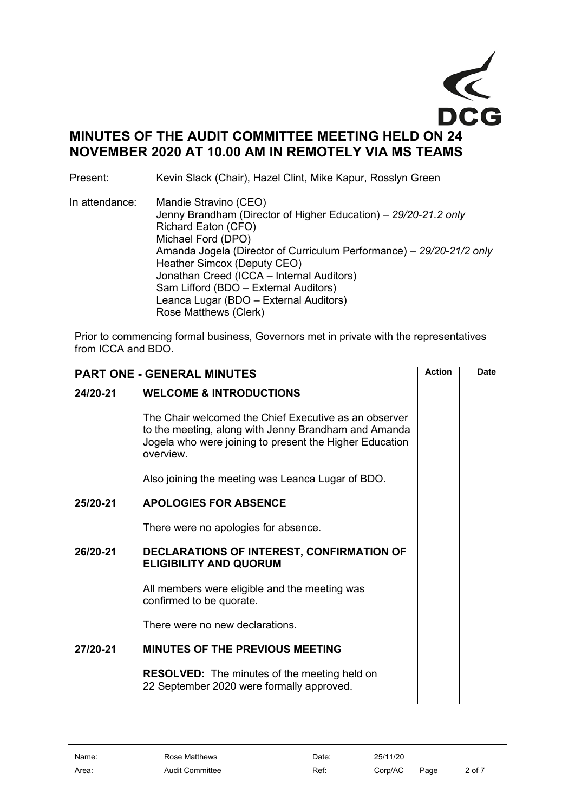

# **MINUTES OF THE AUDIT COMMITTEE MEETING HELD ON 24 NOVEMBER 2020 AT 10.00 AM IN REMOTELY VIA MS TEAMS**

Present: Kevin Slack (Chair), Hazel Clint, Mike Kapur, Rosslyn Green

In attendance: Mandie Stravino (CEO) Jenny Brandham (Director of Higher Education) – *29/20-21.2 only* Richard Eaton (CFO) Michael Ford (DPO) Amanda Jogela (Director of Curriculum Performance) – *29/20-21/2 only* Heather Simcox (Deputy CEO) Jonathan Creed (ICCA – Internal Auditors) Sam Lifford (BDO – External Auditors) Leanca Lugar (BDO – External Auditors) Rose Matthews (Clerk)

Prior to commencing formal business, Governors met in private with the representatives from ICCA and BDO.

<span id="page-1-3"></span><span id="page-1-2"></span><span id="page-1-1"></span><span id="page-1-0"></span>

| <b>PART ONE - GENERAL MINUTES</b> |                                                                                                                                                                                       | <b>Action</b> | Date |
|-----------------------------------|---------------------------------------------------------------------------------------------------------------------------------------------------------------------------------------|---------------|------|
| 24/20-21                          | <b>WELCOME &amp; INTRODUCTIONS</b>                                                                                                                                                    |               |      |
|                                   | The Chair welcomed the Chief Executive as an observer<br>to the meeting, along with Jenny Brandham and Amanda<br>Jogela who were joining to present the Higher Education<br>overview. |               |      |
|                                   | Also joining the meeting was Leanca Lugar of BDO.                                                                                                                                     |               |      |
| 25/20-21                          | <b>APOLOGIES FOR ABSENCE</b>                                                                                                                                                          |               |      |
|                                   | There were no apologies for absence.                                                                                                                                                  |               |      |
| 26/20-21                          | DECLARATIONS OF INTEREST, CONFIRMATION OF<br><b>ELIGIBILITY AND QUORUM</b>                                                                                                            |               |      |
|                                   | All members were eligible and the meeting was<br>confirmed to be quorate.                                                                                                             |               |      |
|                                   | There were no new declarations.                                                                                                                                                       |               |      |
| 27/20-21                          | <b>MINUTES OF THE PREVIOUS MEETING</b>                                                                                                                                                |               |      |
|                                   | <b>RESOLVED:</b> The minutes of the meeting held on<br>22 September 2020 were formally approved.                                                                                      |               |      |
|                                   |                                                                                                                                                                                       |               |      |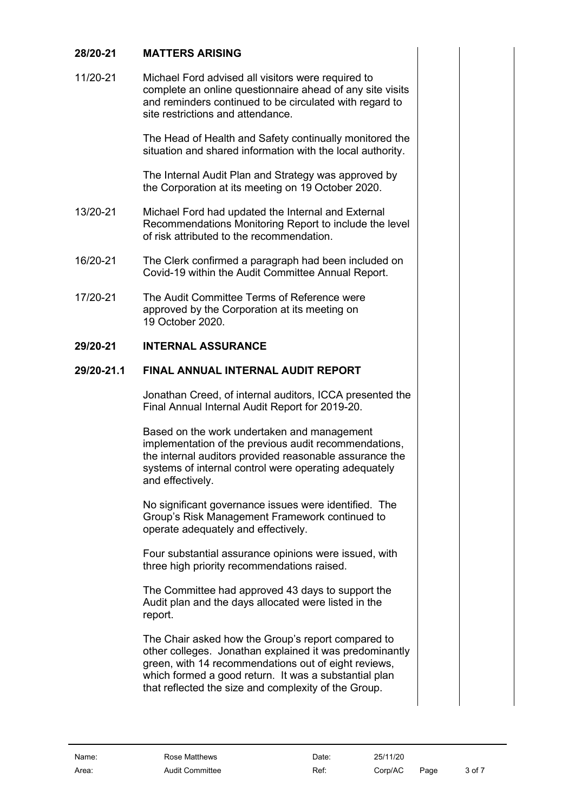# <span id="page-2-0"></span>**28/20-21 MATTERS ARISING**

11/20-21 Michael Ford advised all visitors were required to complete an online questionnaire ahead of any site visits and reminders continued to be circulated with regard to site restrictions and attendance.

> The Head of Health and Safety continually monitored the situation and shared information with the local authority.

The Internal Audit Plan and Strategy was approved by the Corporation at its meeting on 19 October 2020.

- 13/20-21 Michael Ford had updated the Internal and External Recommendations Monitoring Report to include the level of risk attributed to the recommendation.
- 16/20-21 The Clerk confirmed a paragraph had been included on Covid-19 within the Audit Committee Annual Report.
- 17/20-21 The Audit Committee Terms of Reference were approved by the Corporation at its meeting on 19 October 2020.

### **29/20-21 INTERNAL ASSURANCE**

## **29/20-21.1 FINAL ANNUAL INTERNAL AUDIT REPORT**

<span id="page-2-2"></span><span id="page-2-1"></span>Jonathan Creed, of internal auditors, ICCA presented the Final Annual Internal Audit Report for 2019-20.

Based on the work undertaken and management implementation of the previous audit recommendations, the internal auditors provided reasonable assurance the systems of internal control were operating adequately and effectively.

No significant governance issues were identified. The Group's Risk Management Framework continued to operate adequately and effectively.

Four substantial assurance opinions were issued, with three high priority recommendations raised.

The Committee had approved 43 days to support the Audit plan and the days allocated were listed in the report.

The Chair asked how the Group's report compared to other colleges. Jonathan explained it was predominantly green, with 14 recommendations out of eight reviews, which formed a good return. It was a substantial plan that reflected the size and complexity of the Group.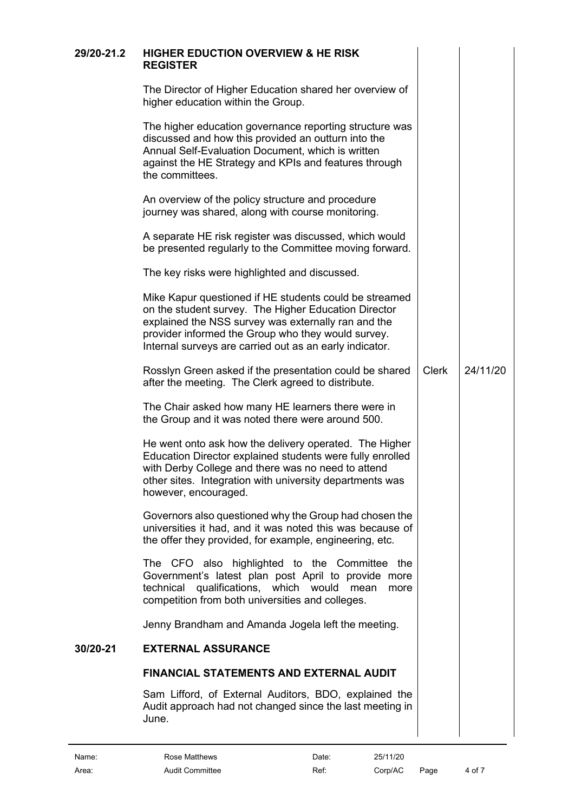<span id="page-3-2"></span><span id="page-3-1"></span><span id="page-3-0"></span>

| 29/20-21.2 | <b>HIGHER EDUCTION OVERVIEW &amp; HE RISK</b><br><b>REGISTER</b>                                                                                                                                                                                                                       |              |          |
|------------|----------------------------------------------------------------------------------------------------------------------------------------------------------------------------------------------------------------------------------------------------------------------------------------|--------------|----------|
|            | The Director of Higher Education shared her overview of<br>higher education within the Group.                                                                                                                                                                                          |              |          |
|            | The higher education governance reporting structure was<br>discussed and how this provided an outturn into the<br>Annual Self-Evaluation Document, which is written<br>against the HE Strategy and KPIs and features through<br>the committees.                                        |              |          |
|            | An overview of the policy structure and procedure<br>journey was shared, along with course monitoring.                                                                                                                                                                                 |              |          |
|            | A separate HE risk register was discussed, which would<br>be presented regularly to the Committee moving forward.                                                                                                                                                                      |              |          |
|            | The key risks were highlighted and discussed.                                                                                                                                                                                                                                          |              |          |
|            | Mike Kapur questioned if HE students could be streamed<br>on the student survey. The Higher Education Director<br>explained the NSS survey was externally ran and the<br>provider informed the Group who they would survey.<br>Internal surveys are carried out as an early indicator. |              |          |
|            | Rosslyn Green asked if the presentation could be shared<br>after the meeting. The Clerk agreed to distribute.                                                                                                                                                                          | <b>Clerk</b> | 24/11/20 |
|            | The Chair asked how many HE learners there were in<br>the Group and it was noted there were around 500.                                                                                                                                                                                |              |          |
|            | He went onto ask how the delivery operated. The Higher<br>Education Director explained students were fully enrolled<br>with Derby College and there was no need to attend<br>other sites. Integration with university departments was<br>however, encouraged.                          |              |          |
|            | Governors also questioned why the Group had chosen the<br>universities it had, and it was noted this was because of<br>the offer they provided, for example, engineering, etc.                                                                                                         |              |          |
|            | The CFO also highlighted to the Committee the<br>Government's latest plan post April to provide more<br>qualifications, which would<br>technical<br>mean<br>more<br>competition from both universities and colleges.                                                                   |              |          |
|            | Jenny Brandham and Amanda Jogela left the meeting.                                                                                                                                                                                                                                     |              |          |
| 30/20-21   | <b>EXTERNAL ASSURANCE</b>                                                                                                                                                                                                                                                              |              |          |
|            | <b>FINANCIAL STATEMENTS AND EXTERNAL AUDIT</b>                                                                                                                                                                                                                                         |              |          |
|            | Sam Lifford, of External Auditors, BDO, explained the<br>Audit approach had not changed since the last meeting in<br>June.                                                                                                                                                             |              |          |
|            |                                                                                                                                                                                                                                                                                        |              |          |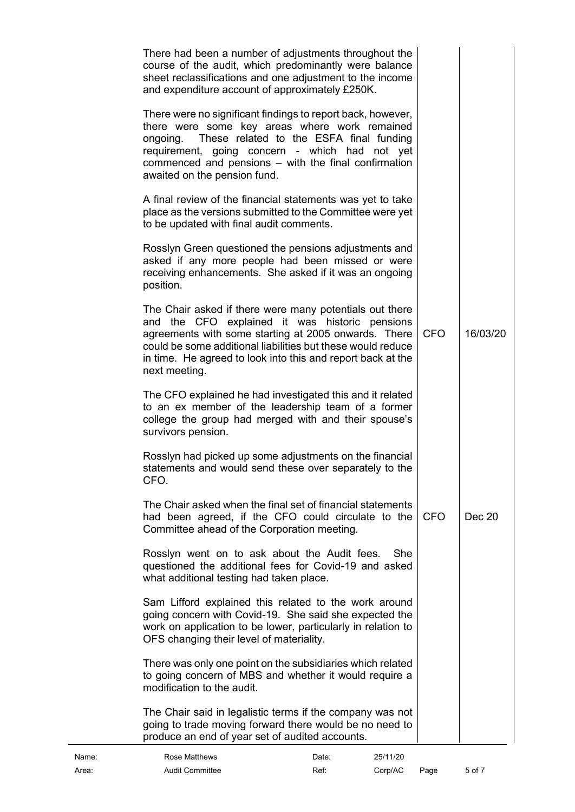| There had been a number of adjustments throughout the<br>course of the audit, which predominantly were balance<br>sheet reclassifications and one adjustment to the income<br>and expenditure account of approximately £250K.                                                                                    |            |          |
|------------------------------------------------------------------------------------------------------------------------------------------------------------------------------------------------------------------------------------------------------------------------------------------------------------------|------------|----------|
| There were no significant findings to report back, however,<br>there were some key areas where work remained<br>These related to the ESFA final funding<br>ongoing.<br>requirement, going concern - which had not yet<br>commenced and pensions - with the final confirmation<br>awaited on the pension fund.    |            |          |
| A final review of the financial statements was yet to take<br>place as the versions submitted to the Committee were yet<br>to be updated with final audit comments.                                                                                                                                              |            |          |
| Rosslyn Green questioned the pensions adjustments and<br>asked if any more people had been missed or were<br>receiving enhancements. She asked if it was an ongoing<br>position.                                                                                                                                 |            |          |
| The Chair asked if there were many potentials out there<br>and the CFO explained it was historic pensions<br>agreements with some starting at 2005 onwards. There<br>could be some additional liabilities but these would reduce<br>in time. He agreed to look into this and report back at the<br>next meeting. | <b>CFO</b> | 16/03/20 |
| The CFO explained he had investigated this and it related<br>to an ex member of the leadership team of a former<br>college the group had merged with and their spouse's<br>survivors pension.                                                                                                                    |            |          |
| Rosslyn had picked up some adjustments on the financial<br>statements and would send these over separately to the<br>CFO.                                                                                                                                                                                        |            |          |
| The Chair asked when the final set of financial statements<br>had been agreed, if the CFO could circulate to the<br>Committee ahead of the Corporation meeting.                                                                                                                                                  | <b>CFO</b> | Dec 20   |
| Rosslyn went on to ask about the Audit fees.<br>She<br>questioned the additional fees for Covid-19 and asked<br>what additional testing had taken place.                                                                                                                                                         |            |          |
| Sam Lifford explained this related to the work around<br>going concern with Covid-19. She said she expected the<br>work on application to be lower, particularly in relation to<br>OFS changing their level of materiality.                                                                                      |            |          |
| There was only one point on the subsidiaries which related<br>to going concern of MBS and whether it would require a<br>modification to the audit.                                                                                                                                                               |            |          |
| The Chair said in legalistic terms if the company was not<br>going to trade moving forward there would be no need to<br>produce an end of year set of audited accounts.                                                                                                                                          |            |          |
|                                                                                                                                                                                                                                                                                                                  |            |          |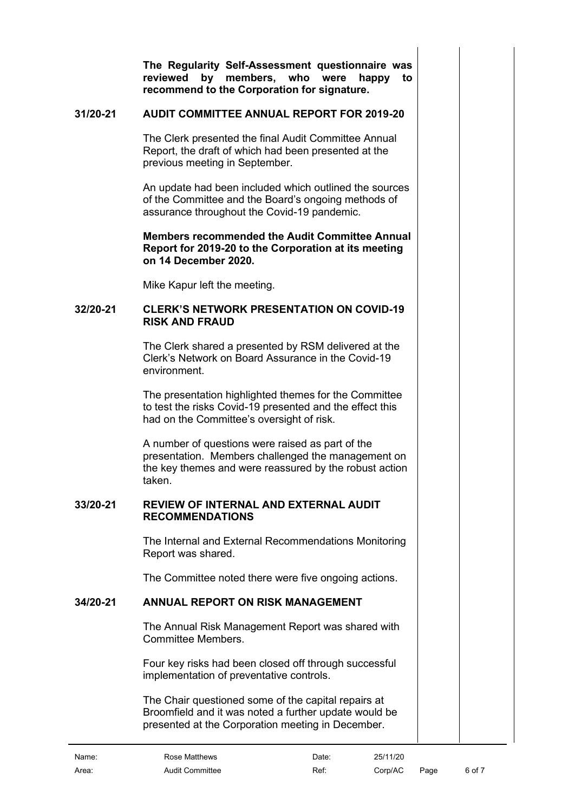**The Regularity Self-Assessment questionnaire was reviewed by members, who were happy to recommend to the Corporation for signature.**

### **31/20-21 AUDIT COMMITTEE ANNUAL REPORT FOR 2019-20**

<span id="page-5-0"></span>The Clerk presented the final Audit Committee Annual Report, the draft of which had been presented at the previous meeting in September.

An update had been included which outlined the sources of the Committee and the Board's ongoing methods of assurance throughout the Covid-19 pandemic.

#### **Members recommended the Audit Committee Annual Report for 2019-20 to the Corporation at its meeting on 14 December 2020.**

<span id="page-5-1"></span>Mike Kapur left the meeting.

#### **32/20-21 CLERK'S NETWORK PRESENTATION ON COVID-19 RISK AND FRAUD**

The Clerk shared a presented by RSM delivered at the Clerk's Network on Board Assurance in the Covid-19 environment.

The presentation highlighted themes for the Committee to test the risks Covid-19 presented and the effect this had on the Committee's oversight of risk.

A number of questions were raised as part of the presentation. Members challenged the management on the key themes and were reassured by the robust action taken.

#### **33/20-21 REVIEW OF INTERNAL AND EXTERNAL AUDIT RECOMMENDATIONS**

<span id="page-5-2"></span>The Internal and External Recommendations Monitoring Report was shared.

The Committee noted there were five ongoing actions.

## **34/20-21 ANNUAL REPORT ON RISK MANAGEMENT**

<span id="page-5-3"></span>The Annual Risk Management Report was shared with Committee Members.

Four key risks had been closed off through successful implementation of preventative controls.

The Chair questioned some of the capital repairs at Broomfield and it was noted a further update would be presented at the Corporation meeting in December.